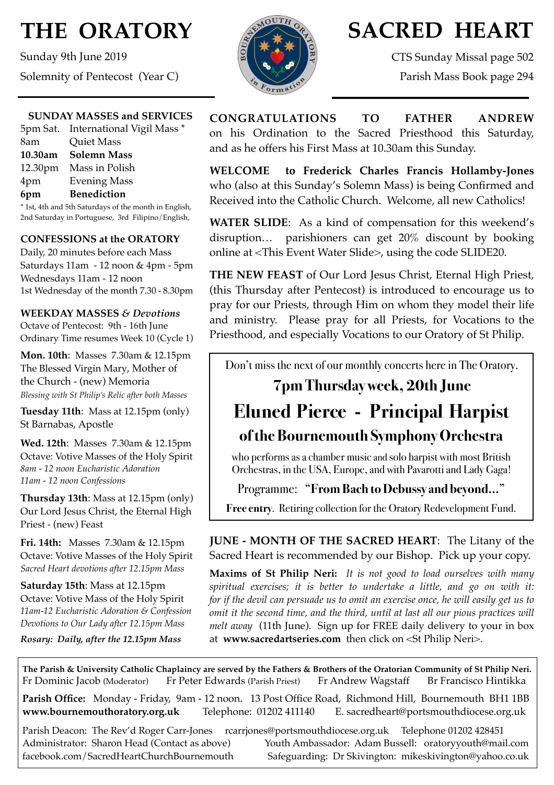# **THE ORATORY**

Sunday 9th June 2019 Solemnity of Pentecost (Year C)

#### **SUNDAY MASSES and SERVICES**

|                                                     | 5pm Sat. International Vigil Mass * |  |
|-----------------------------------------------------|-------------------------------------|--|
| 8am                                                 | <b>Quiet Mass</b>                   |  |
|                                                     | 10.30am Solemn Mass                 |  |
|                                                     | 12.30pm Mass in Polish              |  |
| 4pm                                                 | <b>Evening Mass</b>                 |  |
| 6pm                                                 | <b>Benediction</b>                  |  |
| * Let 4th and 5th Saturdays of the month in English |                                     |  |

1st, 4th and 5th Saturdays of the month in English, 2nd Saturday in Portuguese, 3rd Filipino/English,

### **CONFESSIONS at the ORATORY**

Daily, 20 minutes before each Mass Saturdays 11am - 12 noon & 4pm - 5pm Wednesdays 11am - 12 noon 1st Wednesday of the month 7.30 - 8.30pm

### **WEEKDAY MASSES** *& Devotions*

Octave of Pentecost: 9th - 16th June Ordinary Time resumes Week 10 (Cycle 1)

**Mon. 10th**: Masses 7.30am & 12.15pm The Blessed Virgin Mary, Mother of the Church - (new) Memoria *Blessing with St Philip's Relic after both Masses*

**Tuesday 11th**: Mass at 12.15pm (only) St Barnabas, Apostle

**Wed. 12th**: Masses7.30am & 12.15pm Octave: Votive Masses of the Holy Spirit *8am - 12 noon Eucharistic Adoration 11am - 12 noon Confessions*

**Thursday 13th**: Mass at 12.15pm (only) Our Lord Jesus Christ, the Eternal High Priest - (new) Feast

**Fri. 14th:** Masses 7.30am & 12.15pm Octave: Votive Masses of the Holy Spirit *Sacred Heart devotions after 12.15pm Mass*

**Saturday 15th**: Mass at 12.15pm Octave: Votive Mass of the Holy Spirit *11am-12 Eucharistic Adoration & Confession Devotions to Our Lady after 12.15pm Mass*

*Rosary: Daily, after the 12.15pm Mass*



## **SACRED HEART**

CTS Sunday Missal page 502 Parish Mass Book page 294

## **CONGRATULATIONS TO FATHER ANDREW**  on his Ordination to the Sacred Priesthood this Saturday, and as he offers his First Mass at 10.30am this Sunday.

**WELCOME to Frederick Charles Francis Hollamby-Jones** who (also at this Sunday's Solemn Mass) is being Confirmed and Received into the Catholic Church. Welcome, all new Catholics!

**WATER SLIDE**: As a kind of compensation for this weekend's disruption… parishioners can get 20% discount by booking online at <This Event Water Slide>, using the code SLIDE20.

**THE NEW FEAST** of Our Lord Jesus Christ, Eternal High Priest, (this Thursday after Pentecost) is introduced to encourage us to pray for our Priests, through Him on whom they model their life and ministry. Please pray for all Priests, for Vocations to the Priesthood, and especially Vocations to our Oratory of St Philip.

Don't miss the next of our monthly concerts here in The Oratory.

## **7pm Thursday week, 20th June**

## **Eluned Pierce - Principal Harpist of the Bournemouth Symphony Orchestra**

who performs as a chamber music and solo harpist with most British Orchestras, in the USA, Europe, and with Pavarotti and Lady Gaga!

## Programme: "**From Bach to Debussy and beyond…**"

**Free entry**. Retiring collection for the Oratory Redevelopment Fund.

**JUNE - MONTH OF THE SACRED HEART**: The Litany of the Sacred Heart is recommended by our Bishop. Pick up your copy.

**Maxims of St Philip Neri:** *It is not good to load ourselves with many spiritual exercises; it is better to undertake a little, and go on with it: for if the devil can persuade us to omit an exercise once, he will easily get us to omit it the second time, and the third, until at last all our pious practices will melt away* (11th June). Sign up for FREE daily delivery to your in box at **www.sacredar[tseries.com](http://series.com)** then click on <St Philip Neri>.

**The Parish & University Catholic Chaplaincy are served by the Fathers & Brothers of the Oratorian Community of St Philip Neri.** Fr Dominic Jacob (Moderator) Fr Peter Edwards (Parish Priest) Fr Andrew Wagstaff Br Francisco Hintikka

**Parish Office:** Monday - Friday, 9am - 12 noon. 13 Post Office Road, Richmond Hill, Bournemouth BH1 1BB **[www.bournemouthoratory.org.uk](http://www.bournemoithoratory.org.uk)** Telephone: 01202 411140 E. [sacredheart@portsmouthdiocese.org.uk](mailto:sacredheart@portsmouthdiocese.org.uk)

Parish Deacon: The Rev'd Roger Carr-Jones [rcarrjones@portsmouthdiocese.org.uk](mailto:rcarrjones@portsmouthdiocese.org.uk) Telephone 01202 428451 Administrator: Sharon Head (Contact as above) Youth Ambassador: Adam Bussell: [oratoryyouth@mail.com](http://oratoryyouth.mail.com) [facebook.com/SacredHeartChurchBournemouth](http://facebook.com/SaccredHeartChurchBournemouth) Safeguarding: Dr Skivington: mikeskivington@yahoo.co.uk